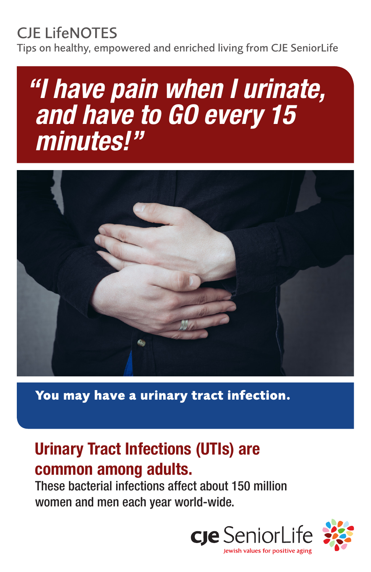## CJE LifeNOTES

Tips on healthy, empowered and enriched living from CJE SeniorLife

# *"I have pain when I urinate, and have to GO every 15 minutes!"*



**You may have a urinary tract infection.**

## Urinary Tract Infections (UTIs) are common among adults.

These bacterial infections affect about 150 million women and men each year world-wide.

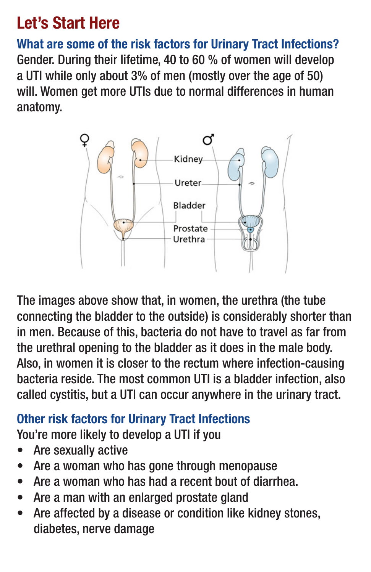## Let's Start Here

What are some of the risk factors for Urinary Tract Infections? Gender. During their lifetime, 40 to 60 % of women will develop a UTI while only about 3% of men (mostly over the age of 50) will. Women get more UTIs due to normal differences in human anatomy.



The images above show that, in women, the urethra (the tube connecting the bladder to the outside) is considerably shorter than in men. Because of this, bacteria do not have to travel as far from the urethral opening to the bladder as it does in the male body. Also, in women it is closer to the rectum where infection-causing bacteria reside. The most common UTI is a bladder infection, also called cystitis, but a UTI can occur anywhere in the urinary tract.

#### Other risk factors for Urinary Tract Infections

You're more likely to develop a UTI if you

- Are sexually active
- Are a woman who has gone through menopause
- Are a woman who has had a recent bout of diarrhea.
- Are a man with an enlarged prostate gland
- Are affected by a disease or condition like kidney stones, diabetes, nerve damage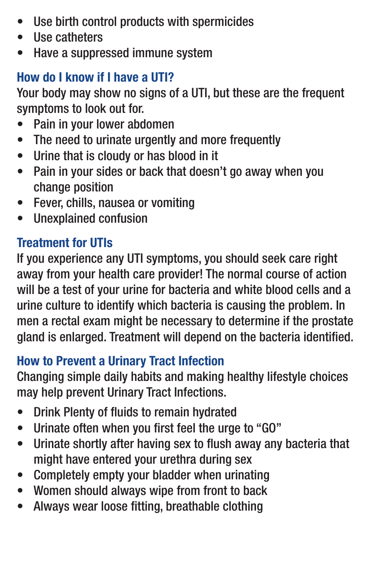- Use birth control products with spermicides
- Use catheters
- Have a suppressed immune system

#### How do I know if I have a UTI?

Your body may show no signs of a UTI, but these are the frequent symptoms to look out for.

- Pain in your lower abdomen
- The need to urinate urgently and more frequently
- Urine that is cloudy or has blood in it
- Pain in your sides or back that doesn't go away when you change position
- Fever, chills, nausea or vomiting
- Unexplained confusion

#### Treatment for UTIs

If you experience any UTI symptoms, you should seek care right away from your health care provider! The normal course of action will be a test of your urine for bacteria and white blood cells and a urine culture to identify which bacteria is causing the problem. In men a rectal exam might be necessary to determine if the prostate gland is enlarged. Treatment will depend on the bacteria identified.

#### How to Prevent a Urinary Tract Infection

Changing simple daily habits and making healthy lifestyle choices may help prevent Urinary Tract Infections.

- Drink Plenty of fluids to remain hydrated
- Urinate often when you first feel the urge to "GO"
- Urinate shortly after having sex to flush away any bacteria that might have entered your urethra during sex
- Completely empty your bladder when urinating
- Women should always wipe from front to back
- Always wear loose fitting, breathable clothing